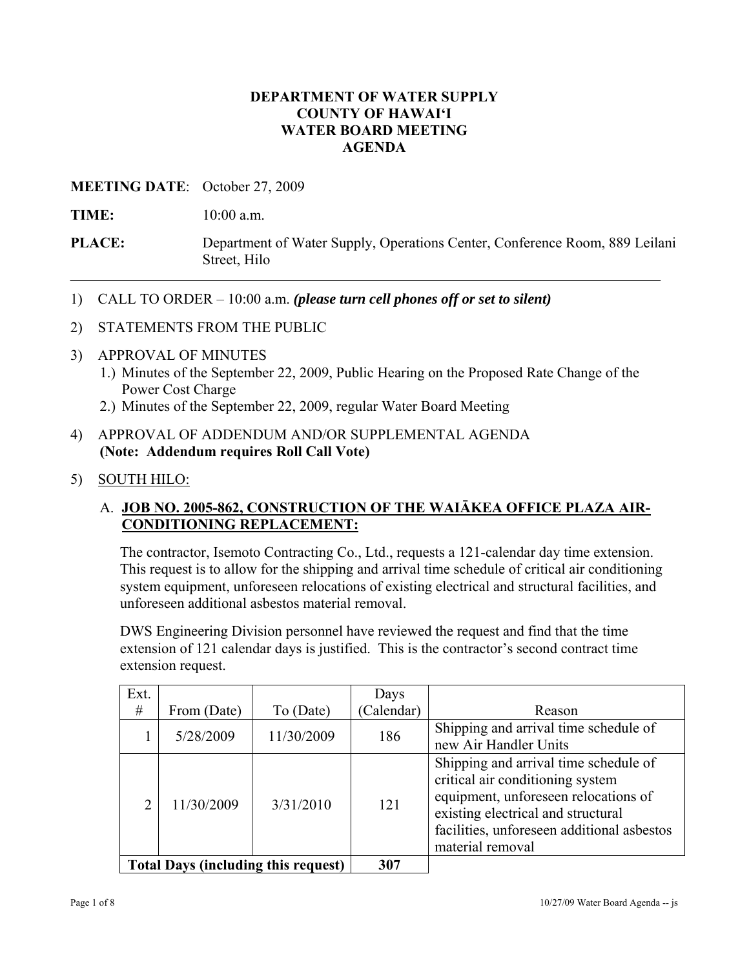#### **DEPARTMENT OF WATER SUPPLY COUNTY OF HAWAI'I WATER BOARD MEETING AGENDA**

#### **MEETING DATE**: October 27, 2009

**TIME:** 10:00 a.m.

- **PLACE:** Department of Water Supply, Operations Center, Conference Room, 889 Leilani Street, Hilo
- 1) CALL TO ORDER 10:00 a.m. *(please turn cell phones off or set to silent)*
- 2) STATEMENTS FROM THE PUBLIC
- 3) APPROVAL OF MINUTES
	- 1.) Minutes of the September 22, 2009, Public Hearing on the Proposed Rate Change of the Power Cost Charge
	- 2.) Minutes of the September 22, 2009, regular Water Board Meeting
- 4) APPROVAL OF ADDENDUM AND/OR SUPPLEMENTAL AGENDA **(Note: Addendum requires Roll Call Vote)**
- 5) SOUTH HILO:

#### A. **JOB NO. 2005-862, CONSTRUCTION OF THE WAIĀKEA OFFICE PLAZA AIR-CONDITIONING REPLACEMENT:**

The contractor, Isemoto Contracting Co., Ltd., requests a 121-calendar day time extension. This request is to allow for the shipping and arrival time schedule of critical air conditioning system equipment, unforeseen relocations of existing electrical and structural facilities, and unforeseen additional asbestos material removal.

DWS Engineering Division personnel have reviewed the request and find that the time extension of 121 calendar days is justified. This is the contractor's second contract time extension request.

| Ext.                                       |             |            | Days       |                                                                                                                                                                                                                           |
|--------------------------------------------|-------------|------------|------------|---------------------------------------------------------------------------------------------------------------------------------------------------------------------------------------------------------------------------|
| #                                          | From (Date) | To (Date)  | (Calendar) | Reason                                                                                                                                                                                                                    |
|                                            | 5/28/2009   | 11/30/2009 | 186        | Shipping and arrival time schedule of<br>new Air Handler Units                                                                                                                                                            |
| ∍                                          | 11/30/2009  | 3/31/2010  | 121        | Shipping and arrival time schedule of<br>critical air conditioning system<br>equipment, unforeseen relocations of<br>existing electrical and structural<br>facilities, unforeseen additional asbestos<br>material removal |
| <b>Total Days (including this request)</b> |             |            | 307        |                                                                                                                                                                                                                           |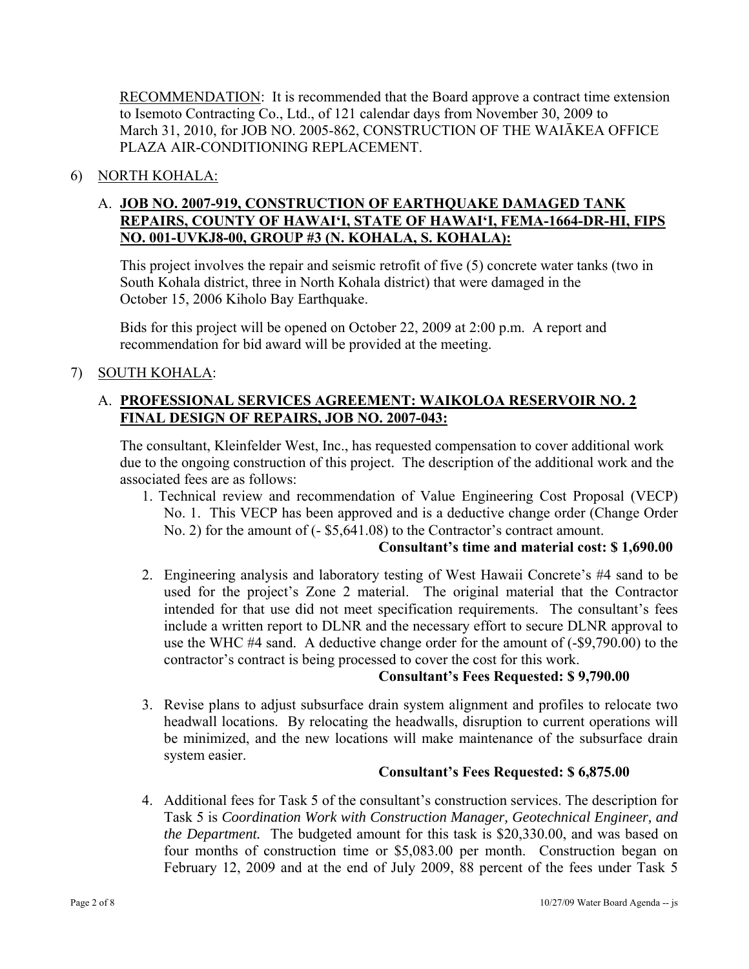RECOMMENDATION: It is recommended that the Board approve a contract time extension to Isemoto Contracting Co., Ltd., of 121 calendar days from November 30, 2009 to March 31, 2010, for JOB NO. 2005-862, CONSTRUCTION OF THE WAIĀKEA OFFICE PLAZA AIR-CONDITIONING REPLACEMENT.

## 6) NORTH KOHALA:

## A. **JOB NO. 2007-919, CONSTRUCTION OF EARTHQUAKE DAMAGED TANK REPAIRS, COUNTY OF HAWAI'I, STATE OF HAWAI'I, FEMA-1664-DR-HI, FIPS NO. 001-UVKJ8-00, GROUP #3 (N. KOHALA, S. KOHALA):**

This project involves the repair and seismic retrofit of five (5) concrete water tanks (two in South Kohala district, three in North Kohala district) that were damaged in the October 15, 2006 Kiholo Bay Earthquake.

Bids for this project will be opened on October 22, 2009 at 2:00 p.m. A report and recommendation for bid award will be provided at the meeting.

# 7) SOUTH KOHALA:

## A. **PROFESSIONAL SERVICES AGREEMENT: WAIKOLOA RESERVOIR NO. 2 FINAL DESIGN OF REPAIRS, JOB NO. 2007-043:**

The consultant, Kleinfelder West, Inc., has requested compensation to cover additional work due to the ongoing construction of this project. The description of the additional work and the associated fees are as follows:

1. Technical review and recommendation of Value Engineering Cost Proposal (VECP) No. 1. This VECP has been approved and is a deductive change order (Change Order No. 2) for the amount of (- \$5,641.08) to the Contractor's contract amount.

#### **Consultant's time and material cost: \$ 1,690.00**

2. Engineering analysis and laboratory testing of West Hawaii Concrete's #4 sand to be used for the project's Zone 2 material. The original material that the Contractor intended for that use did not meet specification requirements. The consultant's fees include a written report to DLNR and the necessary effort to secure DLNR approval to use the WHC #4 sand. A deductive change order for the amount of (-\$9,790.00) to the contractor's contract is being processed to cover the cost for this work.

## **Consultant's Fees Requested: \$ 9,790.00**

3. Revise plans to adjust subsurface drain system alignment and profiles to relocate two headwall locations. By relocating the headwalls, disruption to current operations will be minimized, and the new locations will make maintenance of the subsurface drain system easier.

## **Consultant's Fees Requested: \$ 6,875.00**

4. Additional fees for Task 5 of the consultant's construction services. The description for Task 5 is *Coordination Work with Construction Manager, Geotechnical Engineer, and the Department.* The budgeted amount for this task is \$20,330.00, and was based on four months of construction time or \$5,083.00 per month. Construction began on February 12, 2009 and at the end of July 2009, 88 percent of the fees under Task 5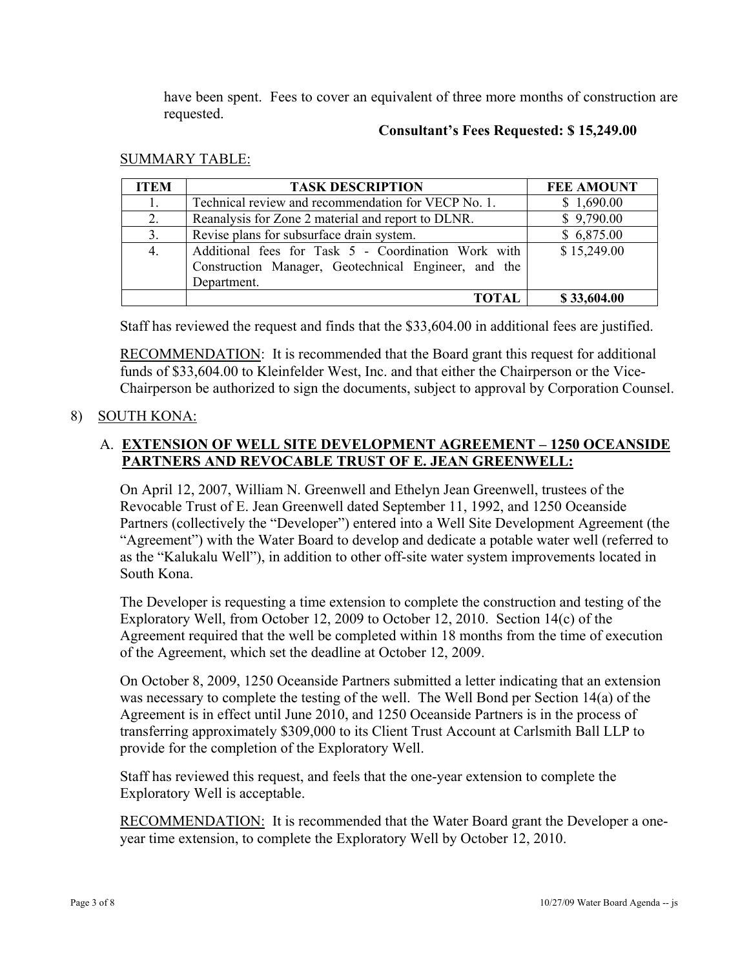have been spent. Fees to cover an equivalent of three more months of construction are requested.

#### **Consultant's Fees Requested: \$ 15,249.00**

#### SUMMARY TABLE:

| <b>ITEM</b> | <b>TASK DESCRIPTION</b>                                                                                                    | <b>FEE AMOUNT</b> |
|-------------|----------------------------------------------------------------------------------------------------------------------------|-------------------|
| 1.          | Technical review and recommendation for VECP No. 1.                                                                        | \$1,690.00        |
| 2.          | Reanalysis for Zone 2 material and report to DLNR.                                                                         | \$9,790.00        |
| 3.          | Revise plans for subsurface drain system.                                                                                  | \$6,875.00        |
| 4.          | Additional fees for Task 5 - Coordination Work with<br>Construction Manager, Geotechnical Engineer, and the<br>Department. | \$15,249.00       |
|             | TOTAL                                                                                                                      | \$33,604.00       |

Staff has reviewed the request and finds that the \$33,604.00 in additional fees are justified.

RECOMMENDATION: It is recommended that the Board grant this request for additional funds of \$33,604.00 to Kleinfelder West, Inc. and that either the Chairperson or the Vice-Chairperson be authorized to sign the documents, subject to approval by Corporation Counsel.

# 8) SOUTH KONA:

# A. **EXTENSION OF WELL SITE DEVELOPMENT AGREEMENT – 1250 OCEANSIDE PARTNERS AND REVOCABLE TRUST OF E. JEAN GREENWELL:**

On April 12, 2007, William N. Greenwell and Ethelyn Jean Greenwell, trustees of the Revocable Trust of E. Jean Greenwell dated September 11, 1992, and 1250 Oceanside Partners (collectively the "Developer") entered into a Well Site Development Agreement (the "Agreement") with the Water Board to develop and dedicate a potable water well (referred to as the "Kalukalu Well"), in addition to other off-site water system improvements located in South Kona.

The Developer is requesting a time extension to complete the construction and testing of the Exploratory Well, from October 12, 2009 to October 12, 2010. Section 14(c) of the Agreement required that the well be completed within 18 months from the time of execution of the Agreement, which set the deadline at October 12, 2009.

On October 8, 2009, 1250 Oceanside Partners submitted a letter indicating that an extension was necessary to complete the testing of the well. The Well Bond per Section 14(a) of the Agreement is in effect until June 2010, and 1250 Oceanside Partners is in the process of transferring approximately \$309,000 to its Client Trust Account at Carlsmith Ball LLP to provide for the completion of the Exploratory Well.

Staff has reviewed this request, and feels that the one-year extension to complete the Exploratory Well is acceptable.

RECOMMENDATION: It is recommended that the Water Board grant the Developer a oneyear time extension, to complete the Exploratory Well by October 12, 2010.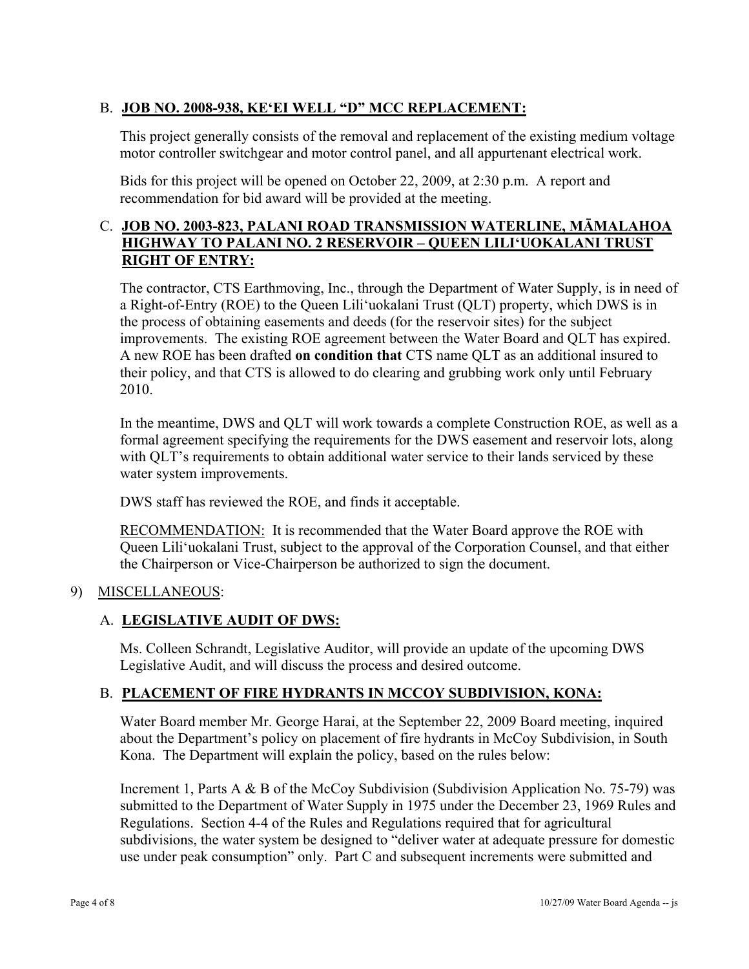# B. **JOB NO. 2008-938, KE'EI WELL "D" MCC REPLACEMENT:**

This project generally consists of the removal and replacement of the existing medium voltage motor controller switchgear and motor control panel, and all appurtenant electrical work.

Bids for this project will be opened on October 22, 2009, at 2:30 p.m. A report and recommendation for bid award will be provided at the meeting.

## C. **JOB NO. 2003-823, PALANI ROAD TRANSMISSION WATERLINE, MĀMALAHOA HIGHWAY TO PALANI NO. 2 RESERVOIR – QUEEN LILI'UOKALANI TRUST RIGHT OF ENTRY:**

The contractor, CTS Earthmoving, Inc., through the Department of Water Supply, is in need of a Right-of-Entry (ROE) to the Queen Lili'uokalani Trust (QLT) property, which DWS is in the process of obtaining easements and deeds (for the reservoir sites) for the subject improvements. The existing ROE agreement between the Water Board and QLT has expired. A new ROE has been drafted **on condition that** CTS name QLT as an additional insured to their policy, and that CTS is allowed to do clearing and grubbing work only until February 2010.

In the meantime, DWS and QLT will work towards a complete Construction ROE, as well as a formal agreement specifying the requirements for the DWS easement and reservoir lots, along with QLT's requirements to obtain additional water service to their lands serviced by these water system improvements.

DWS staff has reviewed the ROE, and finds it acceptable.

RECOMMENDATION: It is recommended that the Water Board approve the ROE with Queen Lili'uokalani Trust, subject to the approval of the Corporation Counsel, and that either the Chairperson or Vice-Chairperson be authorized to sign the document.

## 9) MISCELLANEOUS:

## A. **LEGISLATIVE AUDIT OF DWS:**

Ms. Colleen Schrandt, Legislative Auditor, will provide an update of the upcoming DWS Legislative Audit, and will discuss the process and desired outcome.

## B. **PLACEMENT OF FIRE HYDRANTS IN MCCOY SUBDIVISION, KONA:**

Water Board member Mr. George Harai, at the September 22, 2009 Board meeting, inquired about the Department's policy on placement of fire hydrants in McCoy Subdivision, in South Kona. The Department will explain the policy, based on the rules below:

Increment 1, Parts A & B of the McCoy Subdivision (Subdivision Application No. 75-79) was submitted to the Department of Water Supply in 1975 under the December 23, 1969 Rules and Regulations. Section 4-4 of the Rules and Regulations required that for agricultural subdivisions, the water system be designed to "deliver water at adequate pressure for domestic use under peak consumption" only. Part C and subsequent increments were submitted and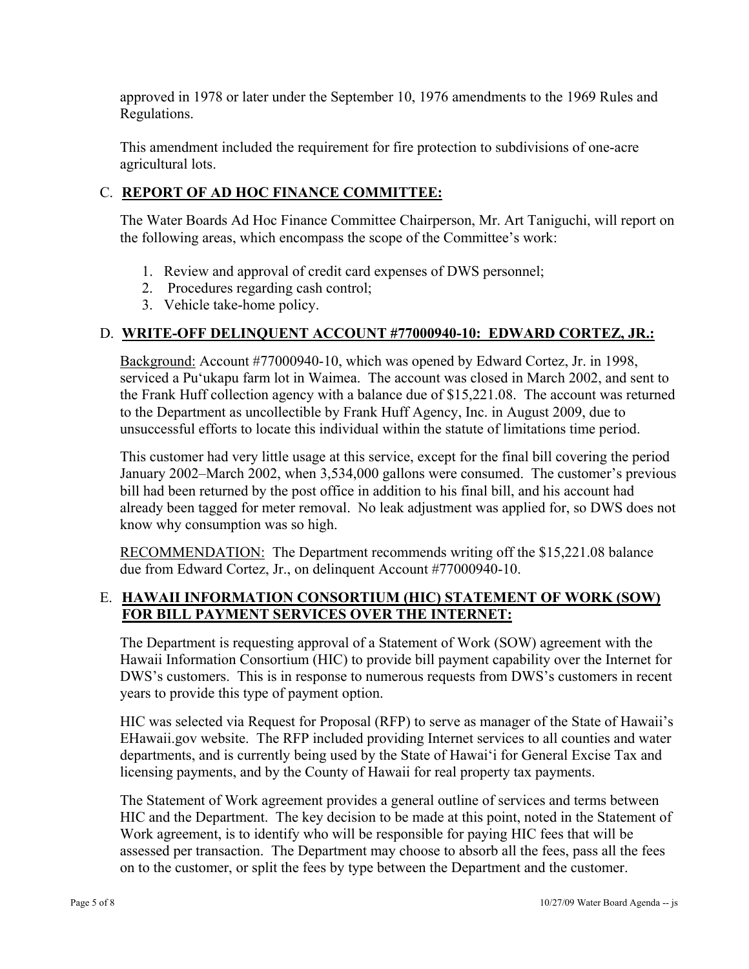approved in 1978 or later under the September 10, 1976 amendments to the 1969 Rules and Regulations.

This amendment included the requirement for fire protection to subdivisions of one-acre agricultural lots.

# C. **REPORT OF AD HOC FINANCE COMMITTEE:**

The Water Boards Ad Hoc Finance Committee Chairperson, Mr. Art Taniguchi, will report on the following areas, which encompass the scope of the Committee's work:

- 1. Review and approval of credit card expenses of DWS personnel;
- 2. Procedures regarding cash control;
- 3. Vehicle take-home policy.

## D. **WRITE-OFF DELINQUENT ACCOUNT #77000940-10: EDWARD CORTEZ, JR.:**

Background: Account #77000940-10, which was opened by Edward Cortez, Jr. in 1998, serviced a Pu'ukapu farm lot in Waimea. The account was closed in March 2002, and sent to the Frank Huff collection agency with a balance due of \$15,221.08. The account was returned to the Department as uncollectible by Frank Huff Agency, Inc. in August 2009, due to unsuccessful efforts to locate this individual within the statute of limitations time period.

This customer had very little usage at this service, except for the final bill covering the period January 2002–March 2002, when 3,534,000 gallons were consumed. The customer's previous bill had been returned by the post office in addition to his final bill, and his account had already been tagged for meter removal. No leak adjustment was applied for, so DWS does not know why consumption was so high.

RECOMMENDATION: The Department recommends writing off the \$15,221.08 balance due from Edward Cortez, Jr., on delinquent Account #77000940-10.

#### E. **HAWAII INFORMATION CONSORTIUM (HIC) STATEMENT OF WORK (SOW) FOR BILL PAYMENT SERVICES OVER THE INTERNET:**

The Department is requesting approval of a Statement of Work (SOW) agreement with the Hawaii Information Consortium (HIC) to provide bill payment capability over the Internet for DWS's customers. This is in response to numerous requests from DWS's customers in recent years to provide this type of payment option.

HIC was selected via Request for Proposal (RFP) to serve as manager of the State of Hawaii's EHawaii.gov website. The RFP included providing Internet services to all counties and water departments, and is currently being used by the State of Hawai'i for General Excise Tax and licensing payments, and by the County of Hawaii for real property tax payments.

The Statement of Work agreement provides a general outline of services and terms between HIC and the Department. The key decision to be made at this point, noted in the Statement of Work agreement, is to identify who will be responsible for paying HIC fees that will be assessed per transaction. The Department may choose to absorb all the fees, pass all the fees on to the customer, or split the fees by type between the Department and the customer.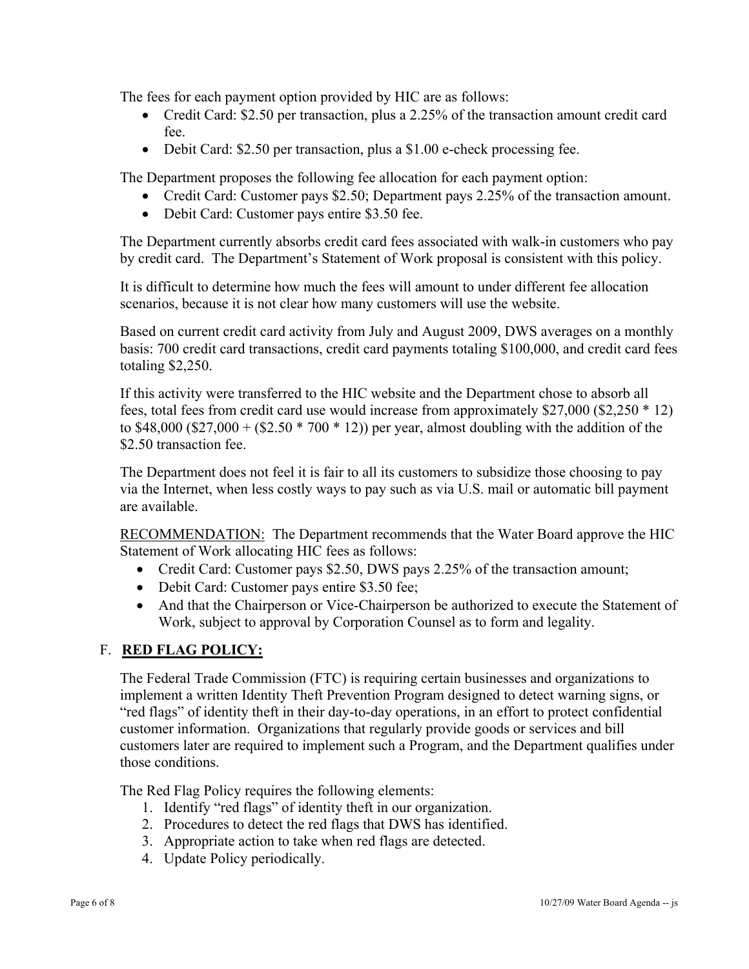The fees for each payment option provided by HIC are as follows:

- Credit Card: \$2.50 per transaction, plus a 2.25% of the transaction amount credit card fee.
- Debit Card: \$2.50 per transaction, plus a \$1.00 e-check processing fee.

The Department proposes the following fee allocation for each payment option:

- Credit Card: Customer pays \$2.50; Department pays 2.25% of the transaction amount.
- Debit Card: Customer pays entire \$3.50 fee.

The Department currently absorbs credit card fees associated with walk-in customers who pay by credit card. The Department's Statement of Work proposal is consistent with this policy.

It is difficult to determine how much the fees will amount to under different fee allocation scenarios, because it is not clear how many customers will use the website.

Based on current credit card activity from July and August 2009, DWS averages on a monthly basis: 700 credit card transactions, credit card payments totaling \$100,000, and credit card fees totaling \$2,250.

If this activity were transferred to the HIC website and the Department chose to absorb all fees, total fees from credit card use would increase from approximately \$27,000 (\$2,250 \* 12) to \$48,000 (\$27,000 + (\$2.50  $*$  700  $*$  12)) per year, almost doubling with the addition of the \$2.50 transaction fee.

The Department does not feel it is fair to all its customers to subsidize those choosing to pay via the Internet, when less costly ways to pay such as via U.S. mail or automatic bill payment are available.

RECOMMENDATION: The Department recommends that the Water Board approve the HIC Statement of Work allocating HIC fees as follows:

- Credit Card: Customer pays \$2.50, DWS pays 2.25% of the transaction amount;
- Debit Card: Customer pays entire \$3.50 fee;
- And that the Chairperson or Vice-Chairperson be authorized to execute the Statement of Work, subject to approval by Corporation Counsel as to form and legality.

# F. **RED FLAG POLICY:**

The Federal Trade Commission (FTC) is requiring certain businesses and organizations to implement a written Identity Theft Prevention Program designed to detect warning signs, or "red flags" of identity theft in their day-to-day operations, in an effort to protect confidential customer information. Organizations that regularly provide goods or services and bill customers later are required to implement such a Program, and the Department qualifies under those conditions.

The Red Flag Policy requires the following elements:

- 1. Identify "red flags" of identity theft in our organization.
- 2. Procedures to detect the red flags that DWS has identified.
- 3. Appropriate action to take when red flags are detected.
- 4. Update Policy periodically.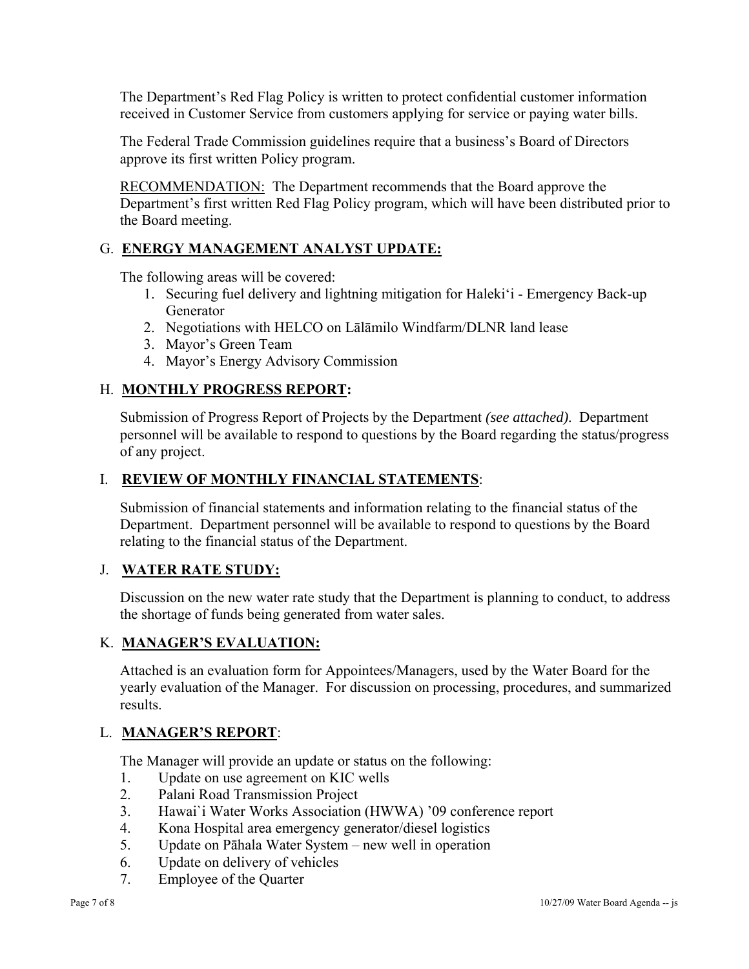The Department's Red Flag Policy is written to protect confidential customer information received in Customer Service from customers applying for service or paying water bills.

The Federal Trade Commission guidelines require that a business's Board of Directors approve its first written Policy program.

RECOMMENDATION: The Department recommends that the Board approve the Department's first written Red Flag Policy program, which will have been distributed prior to the Board meeting.

## G. **ENERGY MANAGEMENT ANALYST UPDATE:**

The following areas will be covered:

- 1. Securing fuel delivery and lightning mitigation for Haleki'i Emergency Back-up Generator
- 2. Negotiations with HELCO on Lālāmilo Windfarm/DLNR land lease
- 3. Mayor's Green Team
- 4. Mayor's Energy Advisory Commission

## H. **MONTHLY PROGRESS REPORT:**

Submission of Progress Report of Projects by the Department *(see attached)*. Department personnel will be available to respond to questions by the Board regarding the status/progress of any project.

#### I. **REVIEW OF MONTHLY FINANCIAL STATEMENTS**:

Submission of financial statements and information relating to the financial status of the Department. Department personnel will be available to respond to questions by the Board relating to the financial status of the Department.

#### J. **WATER RATE STUDY:**

Discussion on the new water rate study that the Department is planning to conduct, to address the shortage of funds being generated from water sales.

#### K. **MANAGER'S EVALUATION:**

Attached is an evaluation form for Appointees/Managers, used by the Water Board for the yearly evaluation of the Manager. For discussion on processing, procedures, and summarized results.

#### L. **MANAGER'S REPORT**:

The Manager will provide an update or status on the following:

- 1. Update on use agreement on KIC wells
- 2. Palani Road Transmission Project
- 3. Hawai`i Water Works Association (HWWA) '09 conference report
- 4. Kona Hospital area emergency generator/diesel logistics
- 5. Update on Pāhala Water System new well in operation
- 6. Update on delivery of vehicles
- 7. Employee of the Quarter